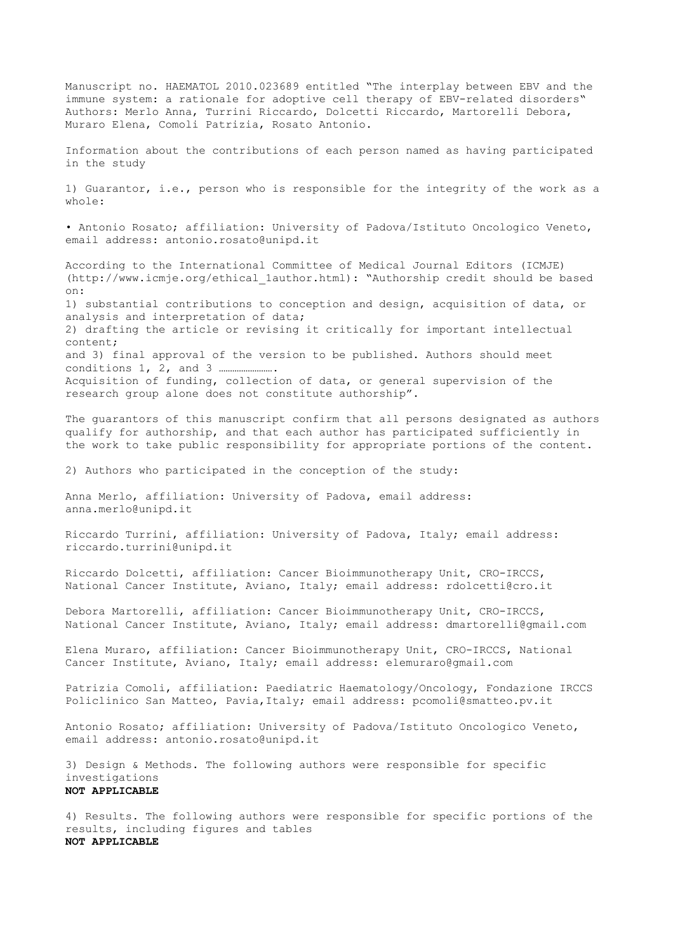Manuscript no. HAEMATOL 2010.023689 entitled "The interplay between EBV and the immune system: a rationale for adoptive cell therapy of EBV-related disorders" Authors: Merlo Anna, Turrini Riccardo, Dolcetti Riccardo, Martorelli Debora, Muraro Elena, Comoli Patrizia, Rosato Antonio. Information about the contributions of each person named as having participated in the study 1) Guarantor, i.e., person who is responsible for the integrity of the work as a whole: • Antonio Rosato; affiliation: University of Padova/Istituto Oncologico Veneto, email address: antonio.rosato@unipd.it According to the International Committee of Medical Journal Editors (ICMJE) (http://www.icmje.org/ethical\_1author.html): "Authorship credit should be based on: 1) substantial contributions to conception and design, acquisition of data, or analysis and interpretation of data; 2) drafting the article or revising it critically for important intellectual content; and 3) final approval of the version to be published. Authors should meet conditions 1, 2, and 3 ……………………. Acquisition of funding, collection of data, or general supervision of the research group alone does not constitute authorship". The guarantors of this manuscript confirm that all persons designated as authors qualify for authorship, and that each author has participated sufficiently in the work to take public responsibility for appropriate portions of the content. 2) Authors who participated in the conception of the study: Anna Merlo, affiliation: University of Padova, email address: anna.merlo@unipd.it Riccardo Turrini, affiliation: University of Padova, Italy; email address: riccardo.turrini@unipd.it Riccardo Dolcetti, affiliation: Cancer Bioimmunotherapy Unit, CRO-IRCCS, National Cancer Institute, Aviano, Italy; email address: rdolcetti@cro.it Debora Martorelli, affiliation: Cancer Bioimmunotherapy Unit, CRO-IRCCS, National Cancer Institute, Aviano, Italy; email address: dmartorelli@gmail.com Elena Muraro, affiliation: Cancer Bioimmunotherapy Unit, CRO-IRCCS, National Cancer Institute, Aviano, Italy; email address: elemuraro@gmail.com Patrizia Comoli, affiliation: Paediatric Haematology/Oncology, Fondazione IRCCS Policlinico San Matteo, Pavia,Italy; email address: pcomoli@smatteo.pv.it Antonio Rosato; affiliation: University of Padova/Istituto Oncologico Veneto, email address: antonio.rosato@unipd.it 3) Design & Methods. The following authors were responsible for specific investigations **NOT APPLICABLE** 4) Results. The following authors were responsible for specific portions of the results, including figures and tables

**NOT APPLICABLE**